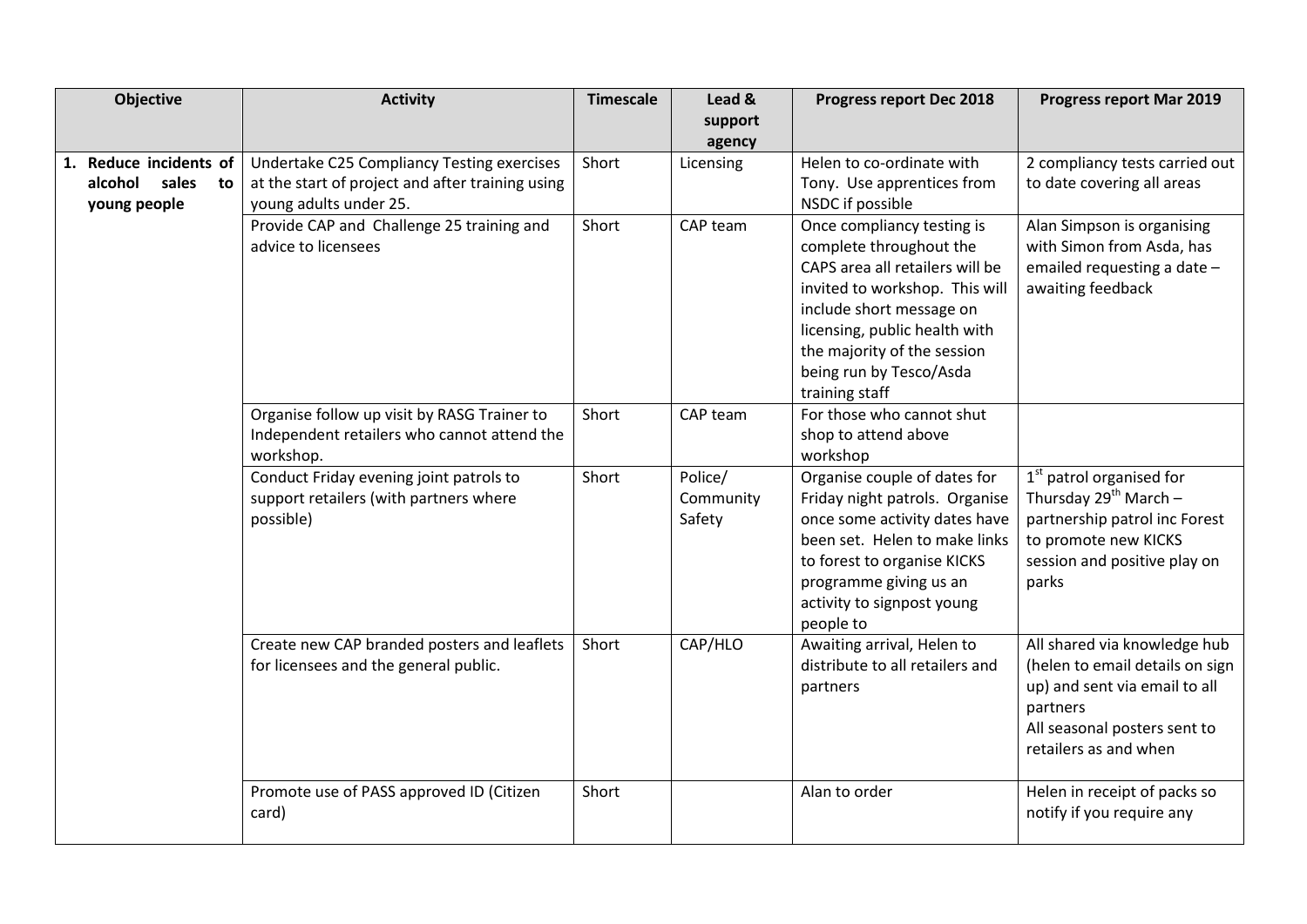| Objective              | <b>Activity</b>                                  | <b>Timescale</b> | Lead &    | Progress report Dec 2018        | <b>Progress report Mar 2019</b> |
|------------------------|--------------------------------------------------|------------------|-----------|---------------------------------|---------------------------------|
|                        |                                                  |                  | support   |                                 |                                 |
|                        |                                                  |                  | agency    |                                 |                                 |
| 1. Reduce incidents of | Undertake C25 Compliancy Testing exercises       | Short            | Licensing | Helen to co-ordinate with       | 2 compliancy tests carried out  |
| sales<br>alcohol<br>to | at the start of project and after training using |                  |           | Tony. Use apprentices from      | to date covering all areas      |
| young people           | young adults under 25.                           |                  |           | NSDC if possible                |                                 |
|                        | Provide CAP and Challenge 25 training and        | Short            | CAP team  | Once compliancy testing is      | Alan Simpson is organising      |
|                        | advice to licensees                              |                  |           | complete throughout the         | with Simon from Asda, has       |
|                        |                                                  |                  |           | CAPS area all retailers will be | emailed requesting a date -     |
|                        |                                                  |                  |           | invited to workshop. This will  | awaiting feedback               |
|                        |                                                  |                  |           | include short message on        |                                 |
|                        |                                                  |                  |           | licensing, public health with   |                                 |
|                        |                                                  |                  |           | the majority of the session     |                                 |
|                        |                                                  |                  |           | being run by Tesco/Asda         |                                 |
|                        |                                                  |                  |           | training staff                  |                                 |
|                        | Organise follow up visit by RASG Trainer to      | Short            | CAP team  | For those who cannot shut       |                                 |
|                        | Independent retailers who cannot attend the      |                  |           | shop to attend above            |                                 |
|                        | workshop.                                        |                  |           | workshop                        |                                 |
|                        | Conduct Friday evening joint patrols to          | Short            | Police/   | Organise couple of dates for    | $1st$ patrol organised for      |
|                        | support retailers (with partners where           |                  | Community | Friday night patrols. Organise  | Thursday $29^{th}$ March -      |
|                        | possible)                                        |                  | Safety    | once some activity dates have   | partnership patrol inc Forest   |
|                        |                                                  |                  |           | been set. Helen to make links   | to promote new KICKS            |
|                        |                                                  |                  |           | to forest to organise KICKS     | session and positive play on    |
|                        |                                                  |                  |           | programme giving us an          | parks                           |
|                        |                                                  |                  |           | activity to signpost young      |                                 |
|                        |                                                  |                  |           | people to                       |                                 |
|                        | Create new CAP branded posters and leaflets      | Short            | CAP/HLO   | Awaiting arrival, Helen to      | All shared via knowledge hub    |
|                        | for licensees and the general public.            |                  |           | distribute to all retailers and | (helen to email details on sign |
|                        |                                                  |                  |           | partners                        | up) and sent via email to all   |
|                        |                                                  |                  |           |                                 | partners                        |
|                        |                                                  |                  |           |                                 | All seasonal posters sent to    |
|                        |                                                  |                  |           |                                 | retailers as and when           |
|                        |                                                  |                  |           |                                 |                                 |
|                        | Promote use of PASS approved ID (Citizen         | Short            |           | Alan to order                   | Helen in receipt of packs so    |
|                        | card)                                            |                  |           |                                 | notify if you require any       |
|                        |                                                  |                  |           |                                 |                                 |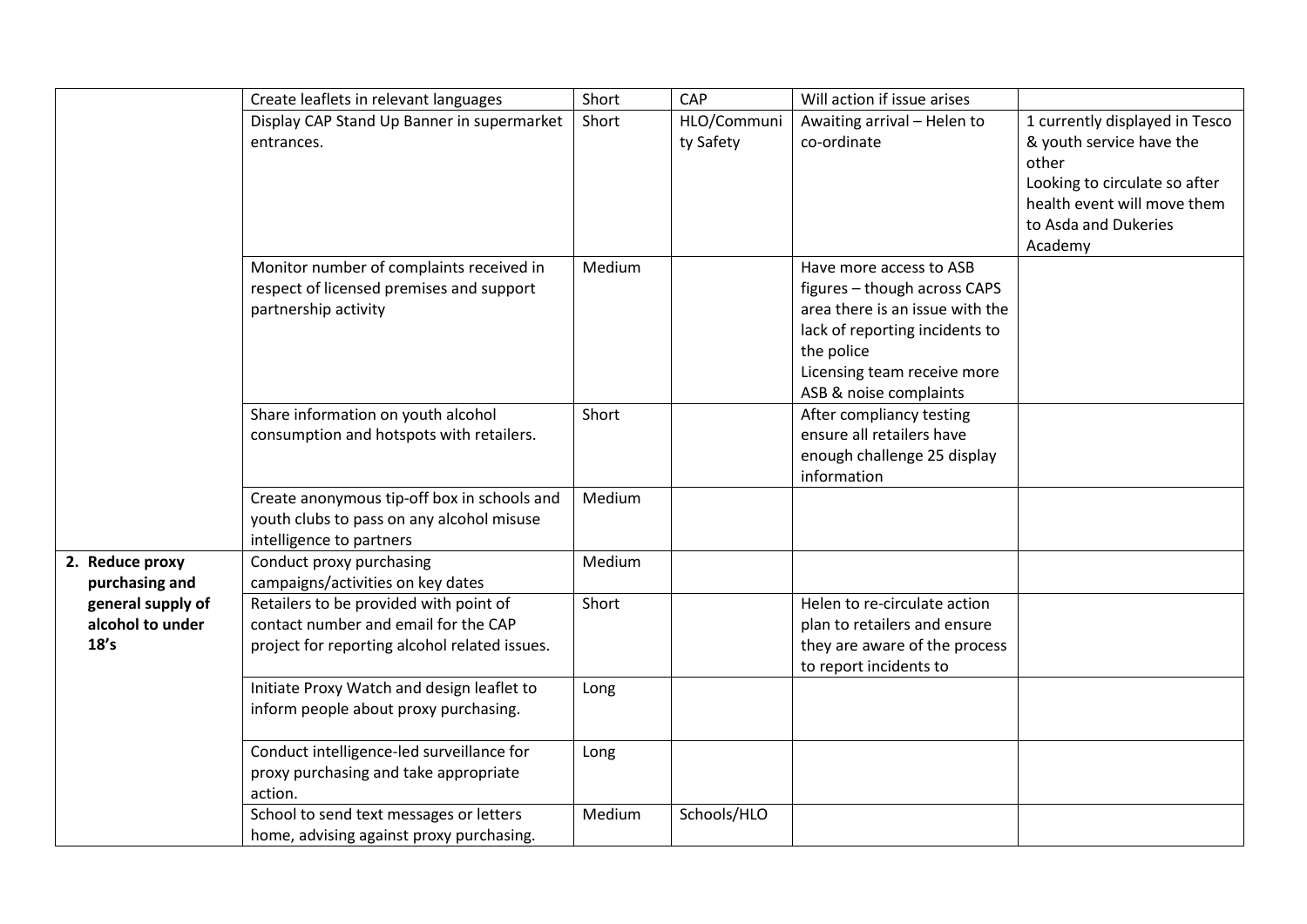|                                               | Create leaflets in relevant languages                                                                                           | Short  | CAP                      | Will action if issue arises                                                                                                                                                                         |                                                                                                                                                                        |
|-----------------------------------------------|---------------------------------------------------------------------------------------------------------------------------------|--------|--------------------------|-----------------------------------------------------------------------------------------------------------------------------------------------------------------------------------------------------|------------------------------------------------------------------------------------------------------------------------------------------------------------------------|
|                                               | Display CAP Stand Up Banner in supermarket<br>entrances.                                                                        | Short  | HLO/Communi<br>ty Safety | Awaiting arrival - Helen to<br>co-ordinate                                                                                                                                                          | 1 currently displayed in Tesco<br>& youth service have the<br>other<br>Looking to circulate so after<br>health event will move them<br>to Asda and Dukeries<br>Academy |
|                                               | Monitor number of complaints received in<br>respect of licensed premises and support<br>partnership activity                    | Medium |                          | Have more access to ASB<br>figures - though across CAPS<br>area there is an issue with the<br>lack of reporting incidents to<br>the police<br>Licensing team receive more<br>ASB & noise complaints |                                                                                                                                                                        |
|                                               | Share information on youth alcohol<br>consumption and hotspots with retailers.                                                  | Short  |                          | After compliancy testing<br>ensure all retailers have<br>enough challenge 25 display<br>information                                                                                                 |                                                                                                                                                                        |
|                                               | Create anonymous tip-off box in schools and<br>youth clubs to pass on any alcohol misuse<br>intelligence to partners            | Medium |                          |                                                                                                                                                                                                     |                                                                                                                                                                        |
| 2. Reduce proxy<br>purchasing and             | Conduct proxy purchasing<br>campaigns/activities on key dates                                                                   | Medium |                          |                                                                                                                                                                                                     |                                                                                                                                                                        |
| general supply of<br>alcohol to under<br>18's | Retailers to be provided with point of<br>contact number and email for the CAP<br>project for reporting alcohol related issues. | Short  |                          | Helen to re-circulate action<br>plan to retailers and ensure<br>they are aware of the process<br>to report incidents to                                                                             |                                                                                                                                                                        |
|                                               | Initiate Proxy Watch and design leaflet to<br>inform people about proxy purchasing.                                             | Long   |                          |                                                                                                                                                                                                     |                                                                                                                                                                        |
|                                               | Conduct intelligence-led surveillance for<br>proxy purchasing and take appropriate<br>action.                                   | Long   |                          |                                                                                                                                                                                                     |                                                                                                                                                                        |
|                                               | School to send text messages or letters<br>home, advising against proxy purchasing.                                             | Medium | Schools/HLO              |                                                                                                                                                                                                     |                                                                                                                                                                        |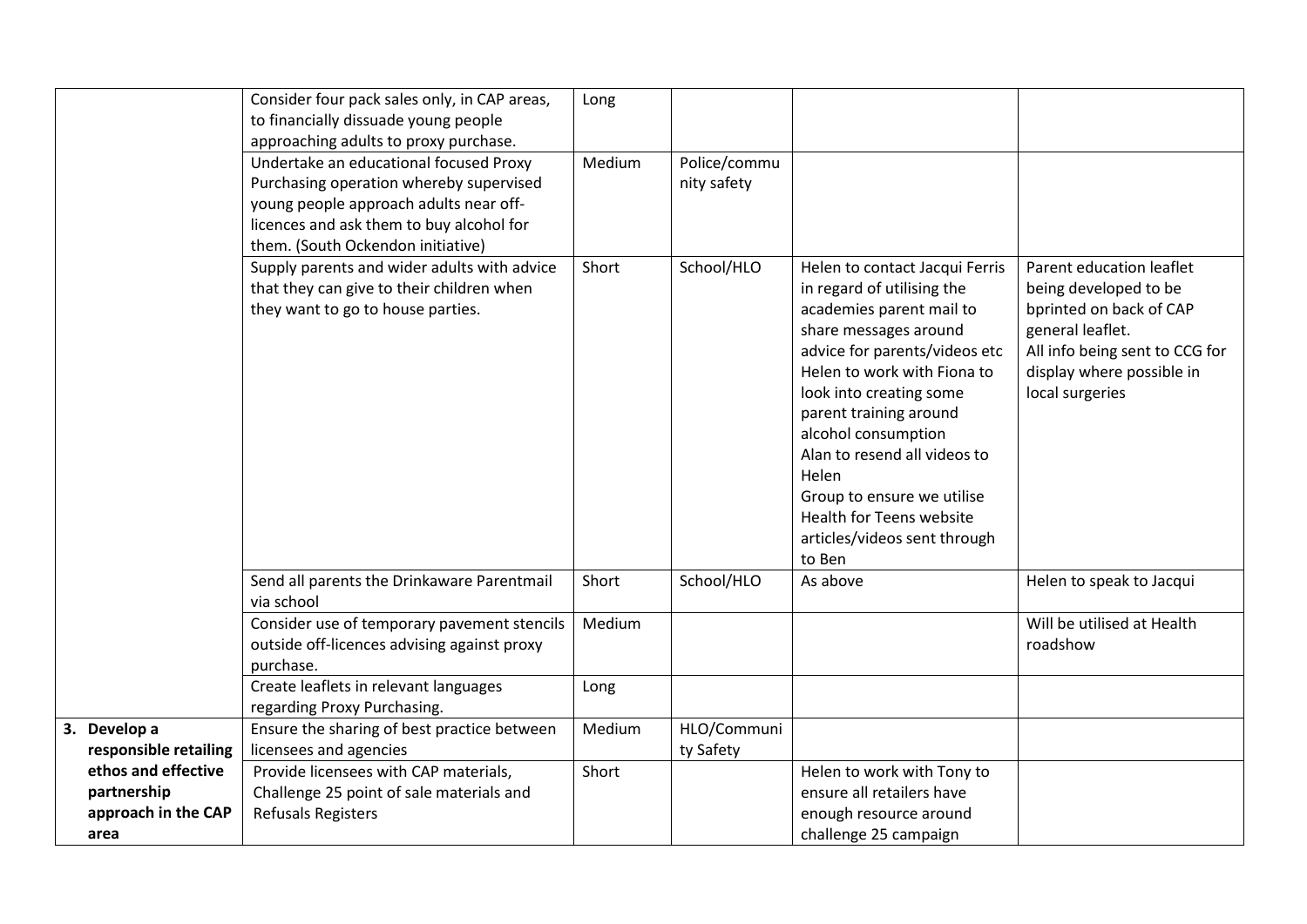|                                       | Consider four pack sales only, in CAP areas,<br>to financially dissuade young people<br>approaching adults to proxy purchase.                                                                                | Long   |                             |                                                                                                                                                                                                                                                                                                                                                                                                            |                                                                                                                                                                                    |
|---------------------------------------|--------------------------------------------------------------------------------------------------------------------------------------------------------------------------------------------------------------|--------|-----------------------------|------------------------------------------------------------------------------------------------------------------------------------------------------------------------------------------------------------------------------------------------------------------------------------------------------------------------------------------------------------------------------------------------------------|------------------------------------------------------------------------------------------------------------------------------------------------------------------------------------|
|                                       | Undertake an educational focused Proxy<br>Purchasing operation whereby supervised<br>young people approach adults near off-<br>licences and ask them to buy alcohol for<br>them. (South Ockendon initiative) | Medium | Police/commu<br>nity safety |                                                                                                                                                                                                                                                                                                                                                                                                            |                                                                                                                                                                                    |
|                                       | Supply parents and wider adults with advice<br>that they can give to their children when<br>they want to go to house parties.                                                                                | Short  | School/HLO                  | Helen to contact Jacqui Ferris<br>in regard of utilising the<br>academies parent mail to<br>share messages around<br>advice for parents/videos etc<br>Helen to work with Fiona to<br>look into creating some<br>parent training around<br>alcohol consumption<br>Alan to resend all videos to<br>Helen<br>Group to ensure we utilise<br>Health for Teens website<br>articles/videos sent through<br>to Ben | Parent education leaflet<br>being developed to be<br>bprinted on back of CAP<br>general leaflet.<br>All info being sent to CCG for<br>display where possible in<br>local surgeries |
|                                       | Send all parents the Drinkaware Parentmail<br>via school                                                                                                                                                     | Short  | School/HLO                  | As above                                                                                                                                                                                                                                                                                                                                                                                                   | Helen to speak to Jacqui                                                                                                                                                           |
|                                       | Consider use of temporary pavement stencils<br>outside off-licences advising against proxy<br>purchase.                                                                                                      | Medium |                             |                                                                                                                                                                                                                                                                                                                                                                                                            | Will be utilised at Health<br>roadshow                                                                                                                                             |
|                                       | Create leaflets in relevant languages<br>regarding Proxy Purchasing.                                                                                                                                         | Long   |                             |                                                                                                                                                                                                                                                                                                                                                                                                            |                                                                                                                                                                                    |
| 3. Develop a<br>responsible retailing | Ensure the sharing of best practice between<br>licensees and agencies                                                                                                                                        | Medium | HLO/Communi<br>ty Safety    |                                                                                                                                                                                                                                                                                                                                                                                                            |                                                                                                                                                                                    |
| ethos and effective<br>partnership    | Provide licensees with CAP materials,<br>Challenge 25 point of sale materials and                                                                                                                            | Short  |                             | Helen to work with Tony to<br>ensure all retailers have                                                                                                                                                                                                                                                                                                                                                    |                                                                                                                                                                                    |
| approach in the CAP<br>area           | <b>Refusals Registers</b>                                                                                                                                                                                    |        |                             | enough resource around<br>challenge 25 campaign                                                                                                                                                                                                                                                                                                                                                            |                                                                                                                                                                                    |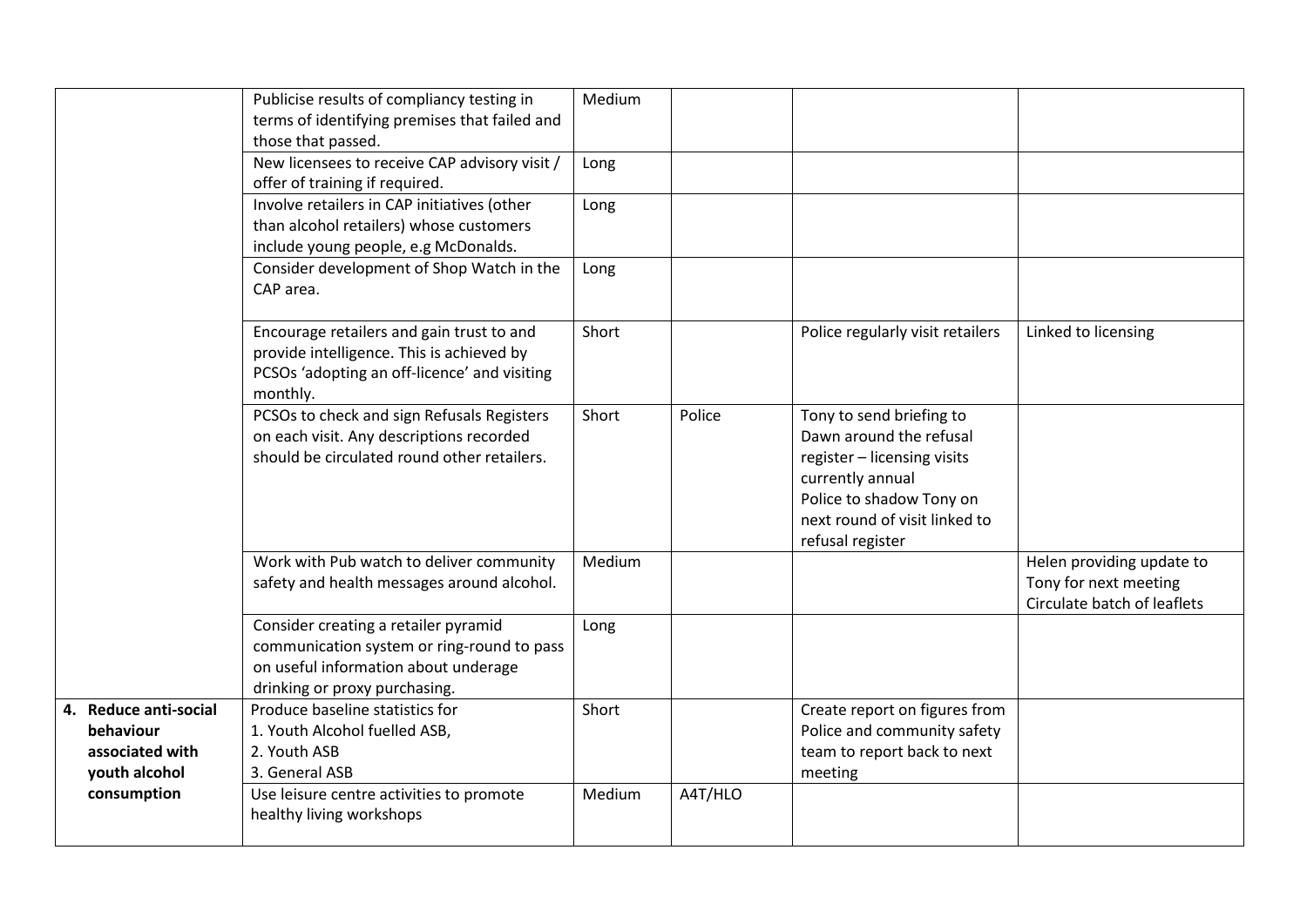|                                                                        | Publicise results of compliancy testing in<br>terms of identifying premises that failed and<br>those that passed.                                           | Medium |         |                                                                                                                                                                                         |                                                                                   |
|------------------------------------------------------------------------|-------------------------------------------------------------------------------------------------------------------------------------------------------------|--------|---------|-----------------------------------------------------------------------------------------------------------------------------------------------------------------------------------------|-----------------------------------------------------------------------------------|
|                                                                        | New licensees to receive CAP advisory visit /<br>offer of training if required.                                                                             | Long   |         |                                                                                                                                                                                         |                                                                                   |
|                                                                        | Involve retailers in CAP initiatives (other<br>than alcohol retailers) whose customers<br>include young people, e.g McDonalds.                              | Long   |         |                                                                                                                                                                                         |                                                                                   |
|                                                                        | Consider development of Shop Watch in the<br>CAP area.                                                                                                      | Long   |         |                                                                                                                                                                                         |                                                                                   |
|                                                                        | Encourage retailers and gain trust to and<br>provide intelligence. This is achieved by<br>PCSOs 'adopting an off-licence' and visiting<br>monthly.          | Short  |         | Police regularly visit retailers                                                                                                                                                        | Linked to licensing                                                               |
|                                                                        | PCSOs to check and sign Refusals Registers<br>on each visit. Any descriptions recorded<br>should be circulated round other retailers.                       | Short  | Police  | Tony to send briefing to<br>Dawn around the refusal<br>register - licensing visits<br>currently annual<br>Police to shadow Tony on<br>next round of visit linked to<br>refusal register |                                                                                   |
|                                                                        | Work with Pub watch to deliver community<br>safety and health messages around alcohol.                                                                      | Medium |         |                                                                                                                                                                                         | Helen providing update to<br>Tony for next meeting<br>Circulate batch of leaflets |
|                                                                        | Consider creating a retailer pyramid<br>communication system or ring-round to pass<br>on useful information about underage<br>drinking or proxy purchasing. | Long   |         |                                                                                                                                                                                         |                                                                                   |
| 4. Reduce anti-social<br>behaviour<br>associated with<br>youth alcohol | Produce baseline statistics for<br>1. Youth Alcohol fuelled ASB,<br>2. Youth ASB<br>3. General ASB                                                          | Short  |         | Create report on figures from<br>Police and community safety<br>team to report back to next<br>meeting                                                                                  |                                                                                   |
| consumption                                                            | Use leisure centre activities to promote<br>healthy living workshops                                                                                        | Medium | A4T/HLO |                                                                                                                                                                                         |                                                                                   |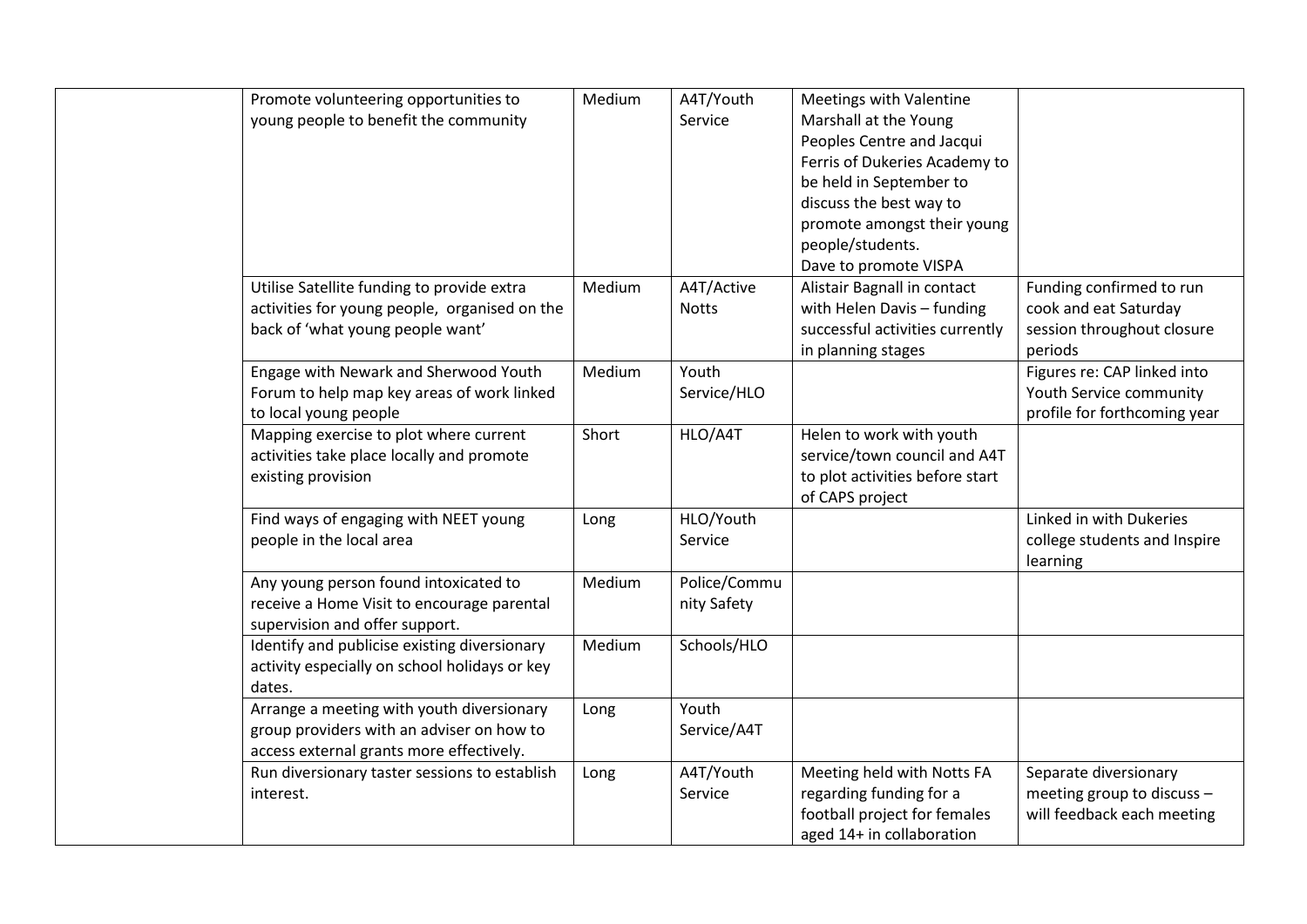| Promote volunteering opportunities to         | Medium | A4T/Youth    | Meetings with Valentine         |                              |
|-----------------------------------------------|--------|--------------|---------------------------------|------------------------------|
| young people to benefit the community         |        | Service      | Marshall at the Young           |                              |
|                                               |        |              | Peoples Centre and Jacqui       |                              |
|                                               |        |              | Ferris of Dukeries Academy to   |                              |
|                                               |        |              | be held in September to         |                              |
|                                               |        |              | discuss the best way to         |                              |
|                                               |        |              | promote amongst their young     |                              |
|                                               |        |              | people/students.                |                              |
|                                               |        |              | Dave to promote VISPA           |                              |
| Utilise Satellite funding to provide extra    | Medium | A4T/Active   | Alistair Bagnall in contact     | Funding confirmed to run     |
| activities for young people, organised on the |        | <b>Notts</b> | with Helen Davis - funding      | cook and eat Saturday        |
| back of 'what young people want'              |        |              | successful activities currently | session throughout closure   |
|                                               |        |              | in planning stages              | periods                      |
| Engage with Newark and Sherwood Youth         | Medium | Youth        |                                 | Figures re: CAP linked into  |
| Forum to help map key areas of work linked    |        | Service/HLO  |                                 | Youth Service community      |
| to local young people                         |        |              |                                 | profile for forthcoming year |
| Mapping exercise to plot where current        | Short  | HLO/A4T      | Helen to work with youth        |                              |
| activities take place locally and promote     |        |              | service/town council and A4T    |                              |
| existing provision                            |        |              | to plot activities before start |                              |
|                                               |        |              | of CAPS project                 |                              |
| Find ways of engaging with NEET young         | Long   | HLO/Youth    |                                 | Linked in with Dukeries      |
| people in the local area                      |        | Service      |                                 | college students and Inspire |
|                                               |        |              |                                 | learning                     |
| Any young person found intoxicated to         | Medium | Police/Commu |                                 |                              |
| receive a Home Visit to encourage parental    |        | nity Safety  |                                 |                              |
| supervision and offer support.                |        |              |                                 |                              |
| Identify and publicise existing diversionary  | Medium | Schools/HLO  |                                 |                              |
| activity especially on school holidays or key |        |              |                                 |                              |
| dates.                                        |        |              |                                 |                              |
| Arrange a meeting with youth diversionary     | Long   | Youth        |                                 |                              |
| group providers with an adviser on how to     |        | Service/A4T  |                                 |                              |
| access external grants more effectively.      |        |              |                                 |                              |
| Run diversionary taster sessions to establish | Long   | A4T/Youth    | Meeting held with Notts FA      | Separate diversionary        |
| interest.                                     |        | Service      | regarding funding for a         | meeting group to discuss -   |
|                                               |        |              | football project for females    | will feedback each meeting   |
|                                               |        |              | aged 14+ in collaboration       |                              |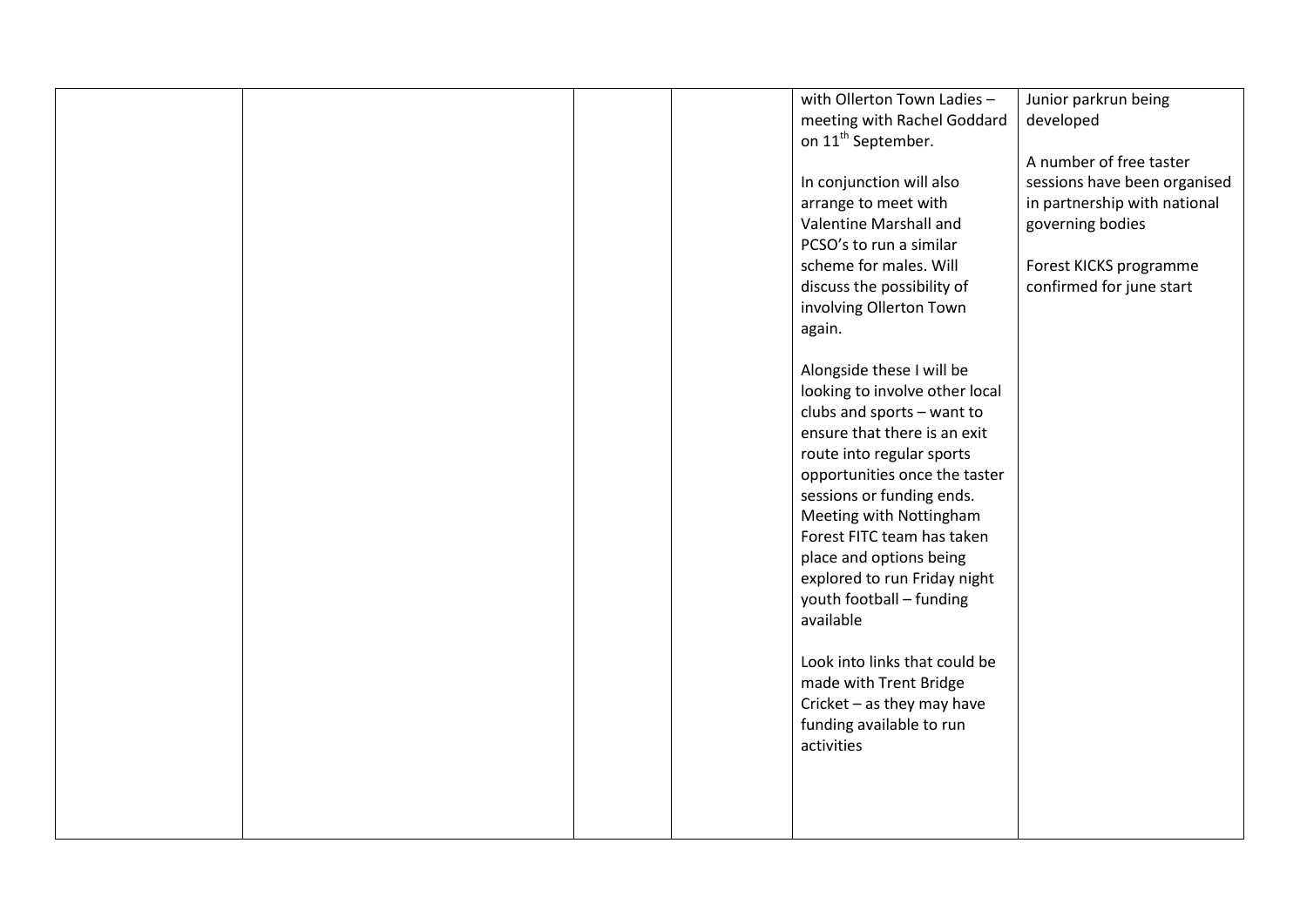|  |  | with Ollerton Town Ladies -    | Junior parkrun being         |
|--|--|--------------------------------|------------------------------|
|  |  | meeting with Rachel Goddard    | developed                    |
|  |  | on 11 <sup>th</sup> September. |                              |
|  |  |                                | A number of free taster      |
|  |  | In conjunction will also       | sessions have been organised |
|  |  | arrange to meet with           | in partnership with national |
|  |  | Valentine Marshall and         | governing bodies             |
|  |  | PCSO's to run a similar        |                              |
|  |  | scheme for males. Will         | Forest KICKS programme       |
|  |  | discuss the possibility of     | confirmed for june start     |
|  |  | involving Ollerton Town        |                              |
|  |  | again.                         |                              |
|  |  |                                |                              |
|  |  | Alongside these I will be      |                              |
|  |  | looking to involve other local |                              |
|  |  | clubs and sports - want to     |                              |
|  |  | ensure that there is an exit   |                              |
|  |  | route into regular sports      |                              |
|  |  | opportunities once the taster  |                              |
|  |  | sessions or funding ends.      |                              |
|  |  | Meeting with Nottingham        |                              |
|  |  | Forest FITC team has taken     |                              |
|  |  | place and options being        |                              |
|  |  |                                |                              |
|  |  | explored to run Friday night   |                              |
|  |  | youth football - funding       |                              |
|  |  | available                      |                              |
|  |  |                                |                              |
|  |  | Look into links that could be  |                              |
|  |  | made with Trent Bridge         |                              |
|  |  | Cricket - as they may have     |                              |
|  |  | funding available to run       |                              |
|  |  | activities                     |                              |
|  |  |                                |                              |
|  |  |                                |                              |
|  |  |                                |                              |
|  |  |                                |                              |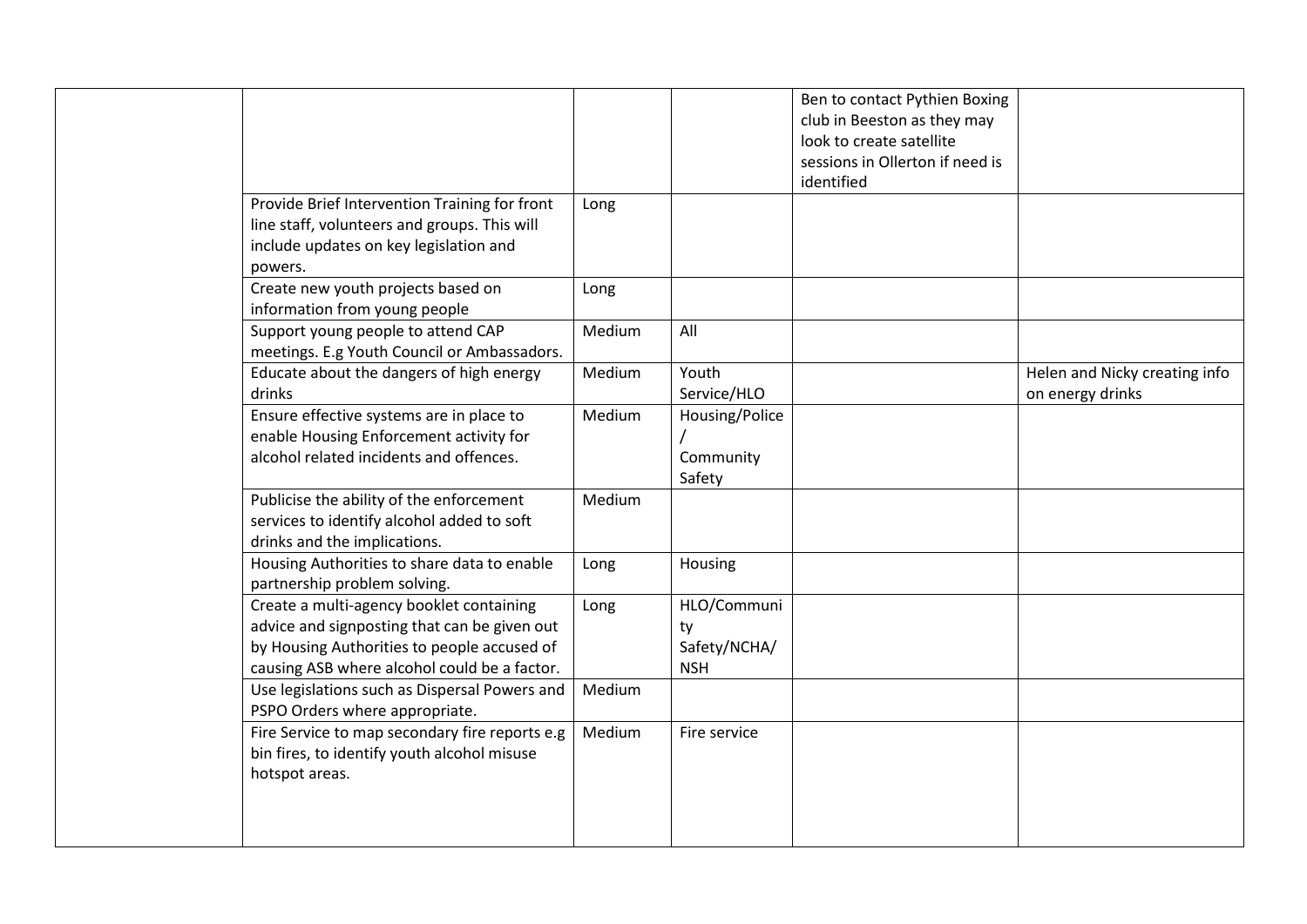|                                                |        |                | Ben to contact Pythien Boxing   |                               |
|------------------------------------------------|--------|----------------|---------------------------------|-------------------------------|
|                                                |        |                | club in Beeston as they may     |                               |
|                                                |        |                | look to create satellite        |                               |
|                                                |        |                | sessions in Ollerton if need is |                               |
|                                                |        |                | identified                      |                               |
| Provide Brief Intervention Training for front  | Long   |                |                                 |                               |
| line staff, volunteers and groups. This will   |        |                |                                 |                               |
| include updates on key legislation and         |        |                |                                 |                               |
| powers.                                        |        |                |                                 |                               |
| Create new youth projects based on             | Long   |                |                                 |                               |
| information from young people                  |        |                |                                 |                               |
| Support young people to attend CAP             | Medium | All            |                                 |                               |
| meetings. E.g Youth Council or Ambassadors.    |        |                |                                 |                               |
| Educate about the dangers of high energy       | Medium | Youth          |                                 | Helen and Nicky creating info |
| drinks                                         |        | Service/HLO    |                                 | on energy drinks              |
| Ensure effective systems are in place to       | Medium | Housing/Police |                                 |                               |
| enable Housing Enforcement activity for        |        |                |                                 |                               |
| alcohol related incidents and offences.        |        | Community      |                                 |                               |
|                                                |        | Safety         |                                 |                               |
| Publicise the ability of the enforcement       | Medium |                |                                 |                               |
| services to identify alcohol added to soft     |        |                |                                 |                               |
| drinks and the implications.                   |        |                |                                 |                               |
| Housing Authorities to share data to enable    | Long   | Housing        |                                 |                               |
| partnership problem solving.                   |        |                |                                 |                               |
| Create a multi-agency booklet containing       | Long   | HLO/Communi    |                                 |                               |
| advice and signposting that can be given out   |        | ty             |                                 |                               |
| by Housing Authorities to people accused of    |        | Safety/NCHA/   |                                 |                               |
| causing ASB where alcohol could be a factor.   |        | <b>NSH</b>     |                                 |                               |
| Use legislations such as Dispersal Powers and  | Medium |                |                                 |                               |
| PSPO Orders where appropriate.                 |        |                |                                 |                               |
| Fire Service to map secondary fire reports e.g | Medium | Fire service   |                                 |                               |
| bin fires, to identify youth alcohol misuse    |        |                |                                 |                               |
| hotspot areas.                                 |        |                |                                 |                               |
|                                                |        |                |                                 |                               |
|                                                |        |                |                                 |                               |
|                                                |        |                |                                 |                               |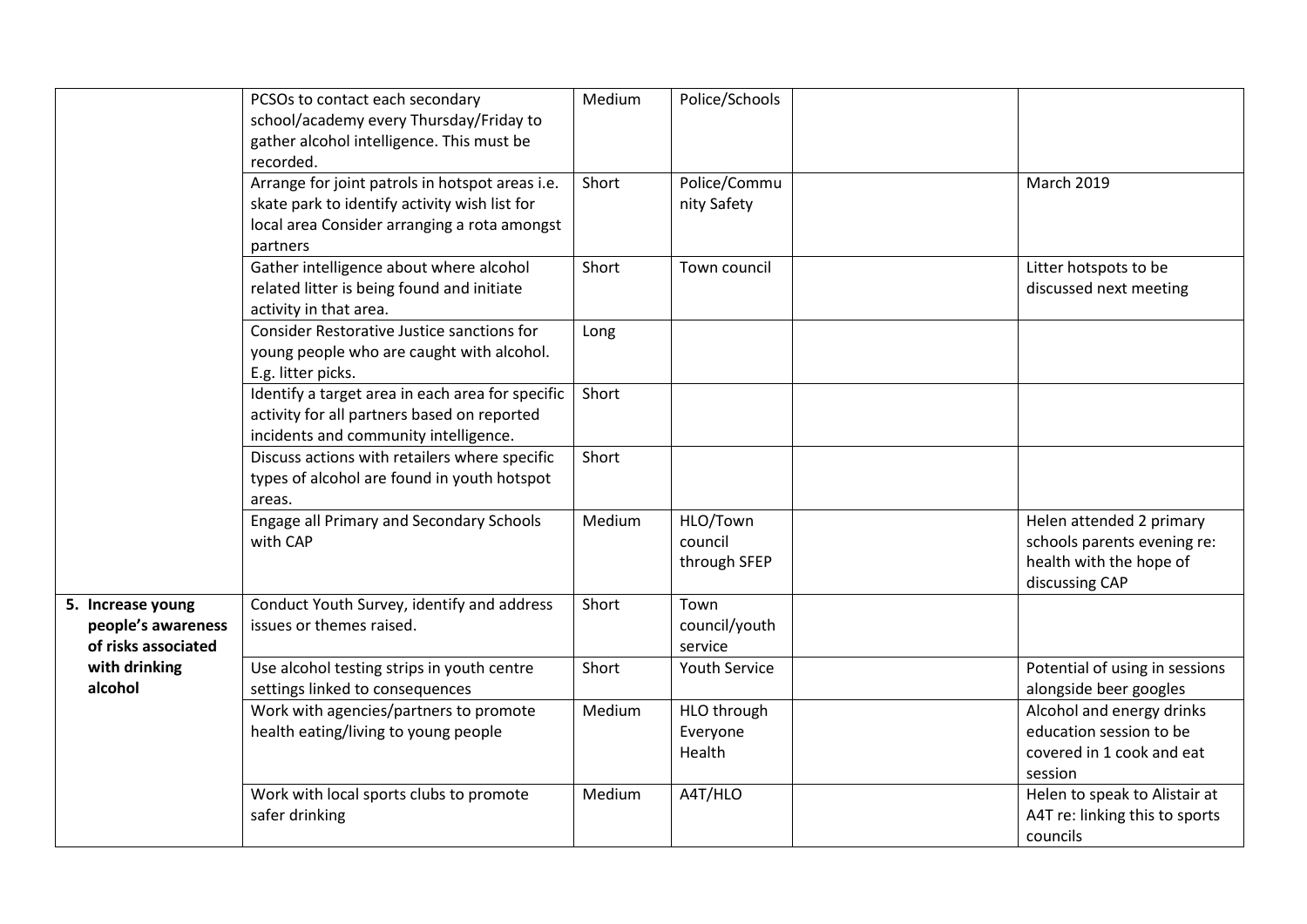|                                                                | PCSOs to contact each secondary<br>school/academy every Thursday/Friday to<br>gather alcohol intelligence. This must be<br>recorded.                         | Medium | Police/Schools                      |                                                                                                      |
|----------------------------------------------------------------|--------------------------------------------------------------------------------------------------------------------------------------------------------------|--------|-------------------------------------|------------------------------------------------------------------------------------------------------|
|                                                                | Arrange for joint patrols in hotspot areas i.e.<br>skate park to identify activity wish list for<br>local area Consider arranging a rota amongst<br>partners | Short  | Police/Commu<br>nity Safety         | <b>March 2019</b>                                                                                    |
|                                                                | Gather intelligence about where alcohol<br>related litter is being found and initiate<br>activity in that area.                                              | Short  | Town council                        | Litter hotspots to be<br>discussed next meeting                                                      |
|                                                                | Consider Restorative Justice sanctions for<br>young people who are caught with alcohol.<br>E.g. litter picks.                                                | Long   |                                     |                                                                                                      |
|                                                                | Identify a target area in each area for specific<br>activity for all partners based on reported<br>incidents and community intelligence.                     | Short  |                                     |                                                                                                      |
|                                                                | Discuss actions with retailers where specific<br>types of alcohol are found in youth hotspot<br>areas.                                                       | Short  |                                     |                                                                                                      |
|                                                                | Engage all Primary and Secondary Schools<br>with CAP                                                                                                         | Medium | HLO/Town<br>council<br>through SFEP | Helen attended 2 primary<br>schools parents evening re:<br>health with the hope of<br>discussing CAP |
| 5. Increase young<br>people's awareness<br>of risks associated | Conduct Youth Survey, identify and address<br>issues or themes raised.                                                                                       | Short  | Town<br>council/youth<br>service    |                                                                                                      |
| with drinking<br>alcohol                                       | Use alcohol testing strips in youth centre<br>settings linked to consequences                                                                                | Short  | <b>Youth Service</b>                | Potential of using in sessions<br>alongside beer googles                                             |
|                                                                | Work with agencies/partners to promote<br>health eating/living to young people                                                                               | Medium | HLO through<br>Everyone<br>Health   | Alcohol and energy drinks<br>education session to be<br>covered in 1 cook and eat<br>session         |
|                                                                | Work with local sports clubs to promote<br>safer drinking                                                                                                    | Medium | A4T/HLO                             | Helen to speak to Alistair at<br>A4T re: linking this to sports<br>councils                          |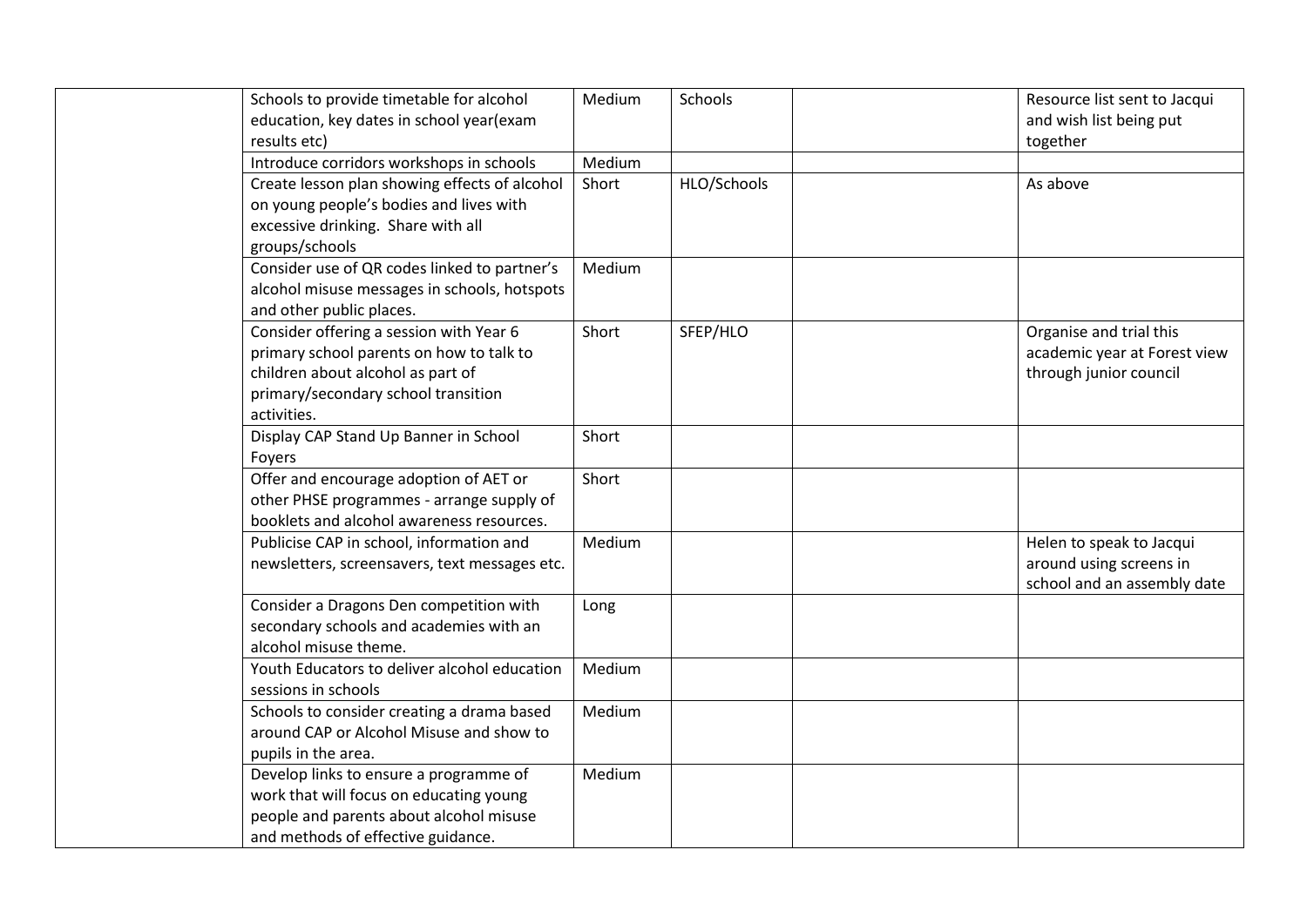| Schools to provide timetable for alcohol<br>education, key dates in school year(exam                                                                                           | Medium | Schools     | Resource list sent to Jacqui<br>and wish list being put                            |
|--------------------------------------------------------------------------------------------------------------------------------------------------------------------------------|--------|-------------|------------------------------------------------------------------------------------|
| results etc)                                                                                                                                                                   | Medium |             | together                                                                           |
| Introduce corridors workshops in schools<br>Create lesson plan showing effects of alcohol                                                                                      | Short  | HLO/Schools | As above                                                                           |
| on young people's bodies and lives with<br>excessive drinking. Share with all<br>groups/schools                                                                                |        |             |                                                                                    |
| Consider use of QR codes linked to partner's<br>alcohol misuse messages in schools, hotspots<br>and other public places.                                                       | Medium |             |                                                                                    |
| Consider offering a session with Year 6<br>primary school parents on how to talk to<br>children about alcohol as part of<br>primary/secondary school transition<br>activities. | Short  | SFEP/HLO    | Organise and trial this<br>academic year at Forest view<br>through junior council  |
| Display CAP Stand Up Banner in School<br>Foyers                                                                                                                                | Short  |             |                                                                                    |
| Offer and encourage adoption of AET or<br>other PHSE programmes - arrange supply of<br>booklets and alcohol awareness resources.                                               | Short  |             |                                                                                    |
| Publicise CAP in school, information and<br>newsletters, screensavers, text messages etc.                                                                                      | Medium |             | Helen to speak to Jacqui<br>around using screens in<br>school and an assembly date |
| Consider a Dragons Den competition with<br>secondary schools and academies with an<br>alcohol misuse theme.                                                                    | Long   |             |                                                                                    |
| Youth Educators to deliver alcohol education<br>sessions in schools                                                                                                            | Medium |             |                                                                                    |
| Schools to consider creating a drama based<br>around CAP or Alcohol Misuse and show to<br>pupils in the area.                                                                  | Medium |             |                                                                                    |
| Develop links to ensure a programme of<br>work that will focus on educating young<br>people and parents about alcohol misuse<br>and methods of effective guidance.             | Medium |             |                                                                                    |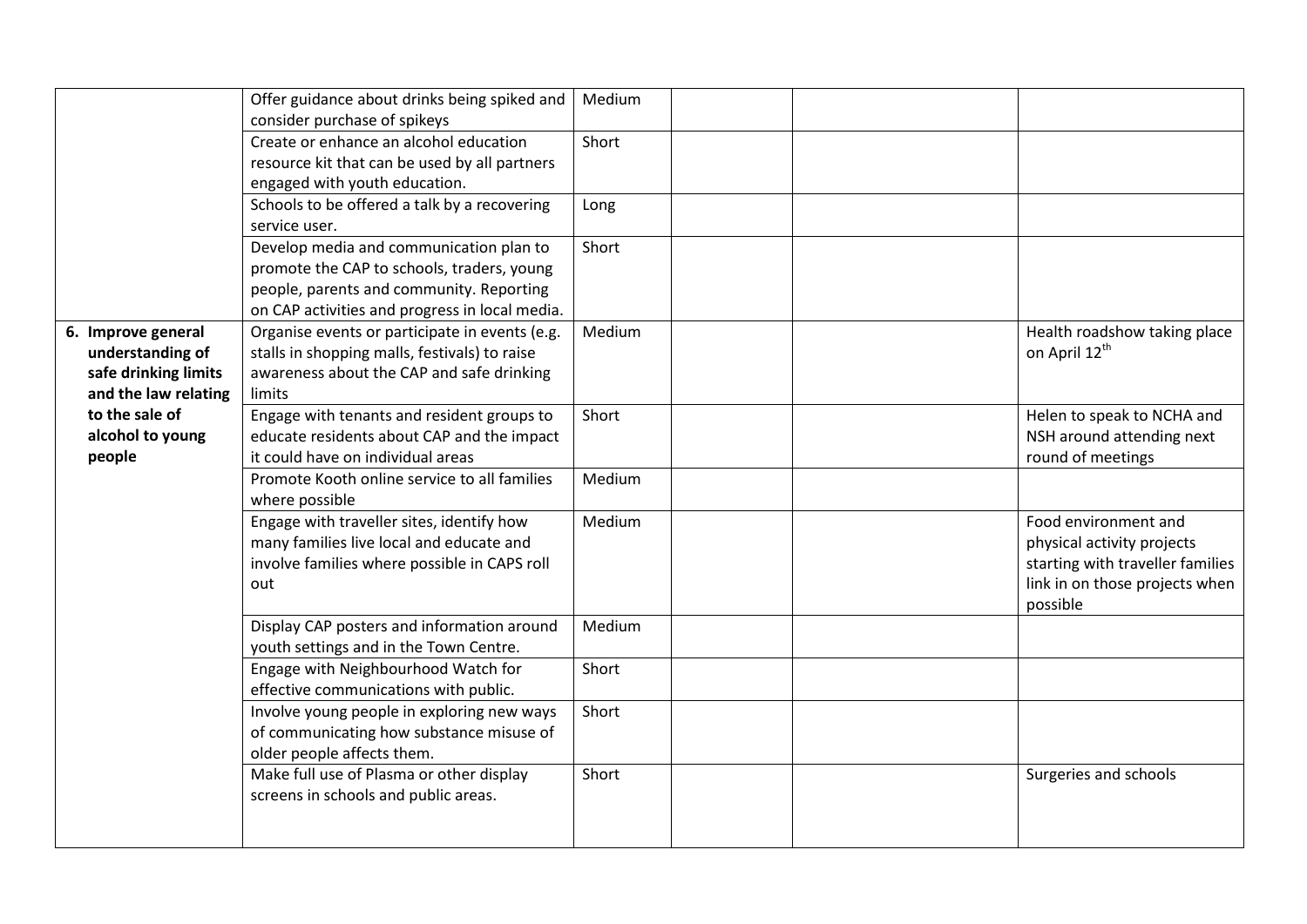|                      | Offer guidance about drinks being spiked and<br>consider purchase of spikeys | Medium |                                  |
|----------------------|------------------------------------------------------------------------------|--------|----------------------------------|
|                      | Create or enhance an alcohol education                                       | Short  |                                  |
|                      | resource kit that can be used by all partners                                |        |                                  |
|                      | engaged with youth education.                                                |        |                                  |
|                      |                                                                              |        |                                  |
|                      | Schools to be offered a talk by a recovering                                 | Long   |                                  |
|                      | service user.                                                                |        |                                  |
|                      | Develop media and communication plan to                                      | Short  |                                  |
|                      | promote the CAP to schools, traders, young                                   |        |                                  |
|                      | people, parents and community. Reporting                                     |        |                                  |
|                      | on CAP activities and progress in local media.                               |        |                                  |
| 6. Improve general   | Organise events or participate in events (e.g.                               | Medium | Health roadshow taking place     |
| understanding of     | stalls in shopping malls, festivals) to raise                                |        | on April 12 <sup>th</sup>        |
| safe drinking limits | awareness about the CAP and safe drinking                                    |        |                                  |
| and the law relating | limits                                                                       |        |                                  |
| to the sale of       | Engage with tenants and resident groups to                                   | Short  | Helen to speak to NCHA and       |
| alcohol to young     | educate residents about CAP and the impact                                   |        | NSH around attending next        |
| people               | it could have on individual areas                                            |        | round of meetings                |
|                      | Promote Kooth online service to all families                                 | Medium |                                  |
|                      | where possible                                                               |        |                                  |
|                      | Engage with traveller sites, identify how                                    | Medium | Food environment and             |
|                      | many families live local and educate and                                     |        | physical activity projects       |
|                      | involve families where possible in CAPS roll                                 |        | starting with traveller families |
|                      | out                                                                          |        | link in on those projects when   |
|                      |                                                                              |        | possible                         |
|                      | Display CAP posters and information around                                   | Medium |                                  |
|                      | youth settings and in the Town Centre.                                       |        |                                  |
|                      | Engage with Neighbourhood Watch for                                          | Short  |                                  |
|                      | effective communications with public.                                        |        |                                  |
|                      | Involve young people in exploring new ways                                   | Short  |                                  |
|                      | of communicating how substance misuse of                                     |        |                                  |
|                      | older people affects them.                                                   |        |                                  |
|                      | Make full use of Plasma or other display                                     | Short  | Surgeries and schools            |
|                      | screens in schools and public areas.                                         |        |                                  |
|                      |                                                                              |        |                                  |
|                      |                                                                              |        |                                  |